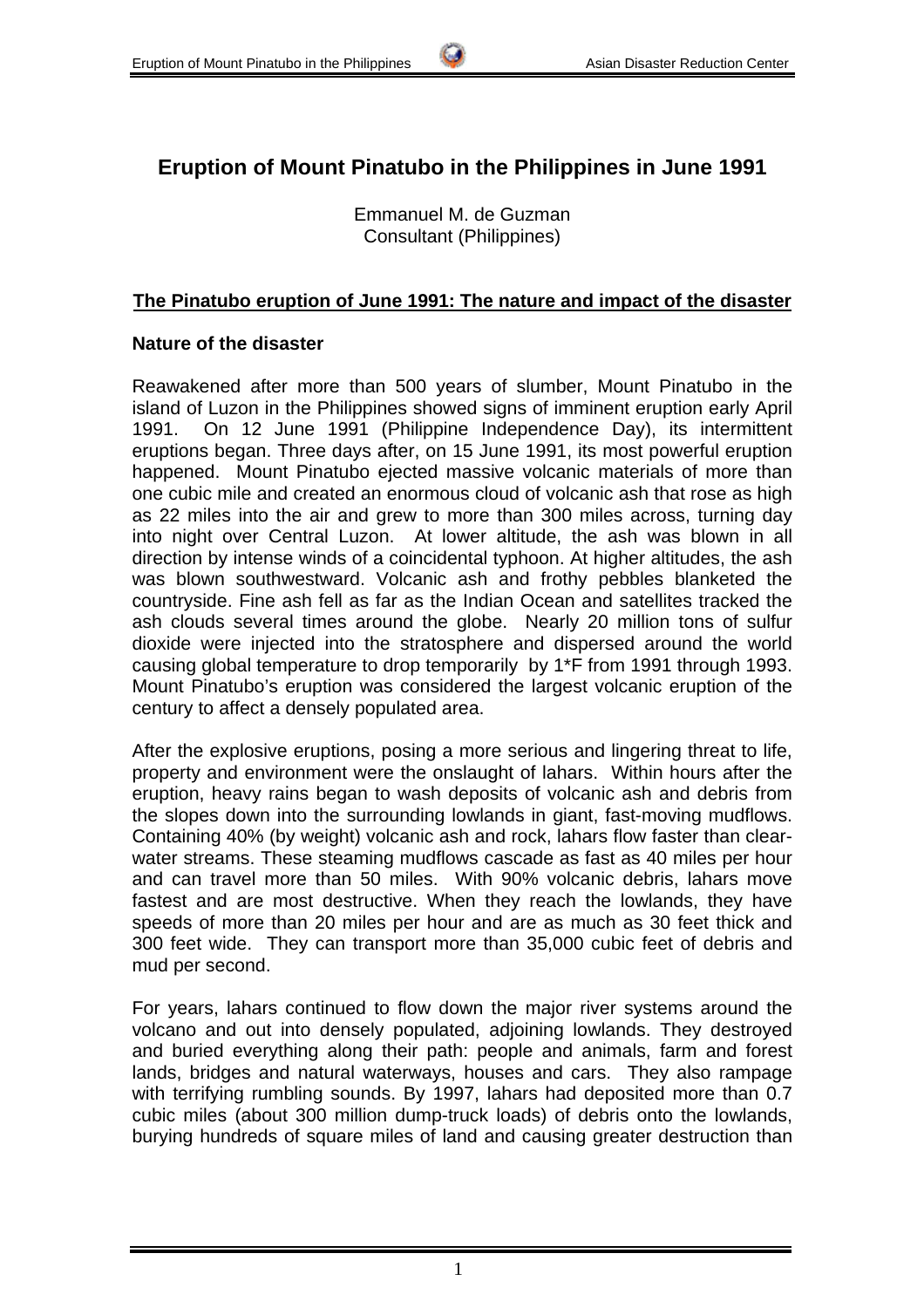# **Eruption of Mount Pinatubo in the Philippines in June 1991**

Emmanuel M. de Guzman Consultant (Philippines)

# **The Pinatubo eruption of June 1991: The nature and impact of the disaster**

# **Nature of the disaster**

Reawakened after more than 500 years of slumber, Mount Pinatubo in the island of Luzon in the Philippines showed signs of imminent eruption early April 1991. On 12 June 1991 (Philippine Independence Day), its intermittent eruptions began. Three days after, on 15 June 1991, its most powerful eruption happened. Mount Pinatubo ejected massive volcanic materials of more than one cubic mile and created an enormous cloud of volcanic ash that rose as high as 22 miles into the air and grew to more than 300 miles across, turning day into night over Central Luzon. At lower altitude, the ash was blown in all direction by intense winds of a coincidental typhoon. At higher altitudes, the ash was blown southwestward. Volcanic ash and frothy pebbles blanketed the countryside. Fine ash fell as far as the Indian Ocean and satellites tracked the ash clouds several times around the globe. Nearly 20 million tons of sulfur dioxide were injected into the stratosphere and dispersed around the world causing global temperature to drop temporarily by 1\*F from 1991 through 1993. Mount Pinatubo's eruption was considered the largest volcanic eruption of the century to affect a densely populated area.

After the explosive eruptions, posing a more serious and lingering threat to life, property and environment were the onslaught of lahars. Within hours after the eruption, heavy rains began to wash deposits of volcanic ash and debris from the slopes down into the surrounding lowlands in giant, fast-moving mudflows. Containing 40% (by weight) volcanic ash and rock, lahars flow faster than clearwater streams. These steaming mudflows cascade as fast as 40 miles per hour and can travel more than 50 miles. With 90% volcanic debris, lahars move fastest and are most destructive. When they reach the lowlands, they have speeds of more than 20 miles per hour and are as much as 30 feet thick and 300 feet wide. They can transport more than 35,000 cubic feet of debris and mud per second.

For years, lahars continued to flow down the major river systems around the volcano and out into densely populated, adjoining lowlands. They destroyed and buried everything along their path: people and animals, farm and forest lands, bridges and natural waterways, houses and cars. They also rampage with terrifying rumbling sounds. By 1997, lahars had deposited more than 0.7 cubic miles (about 300 million dump-truck loads) of debris onto the lowlands, burying hundreds of square miles of land and causing greater destruction than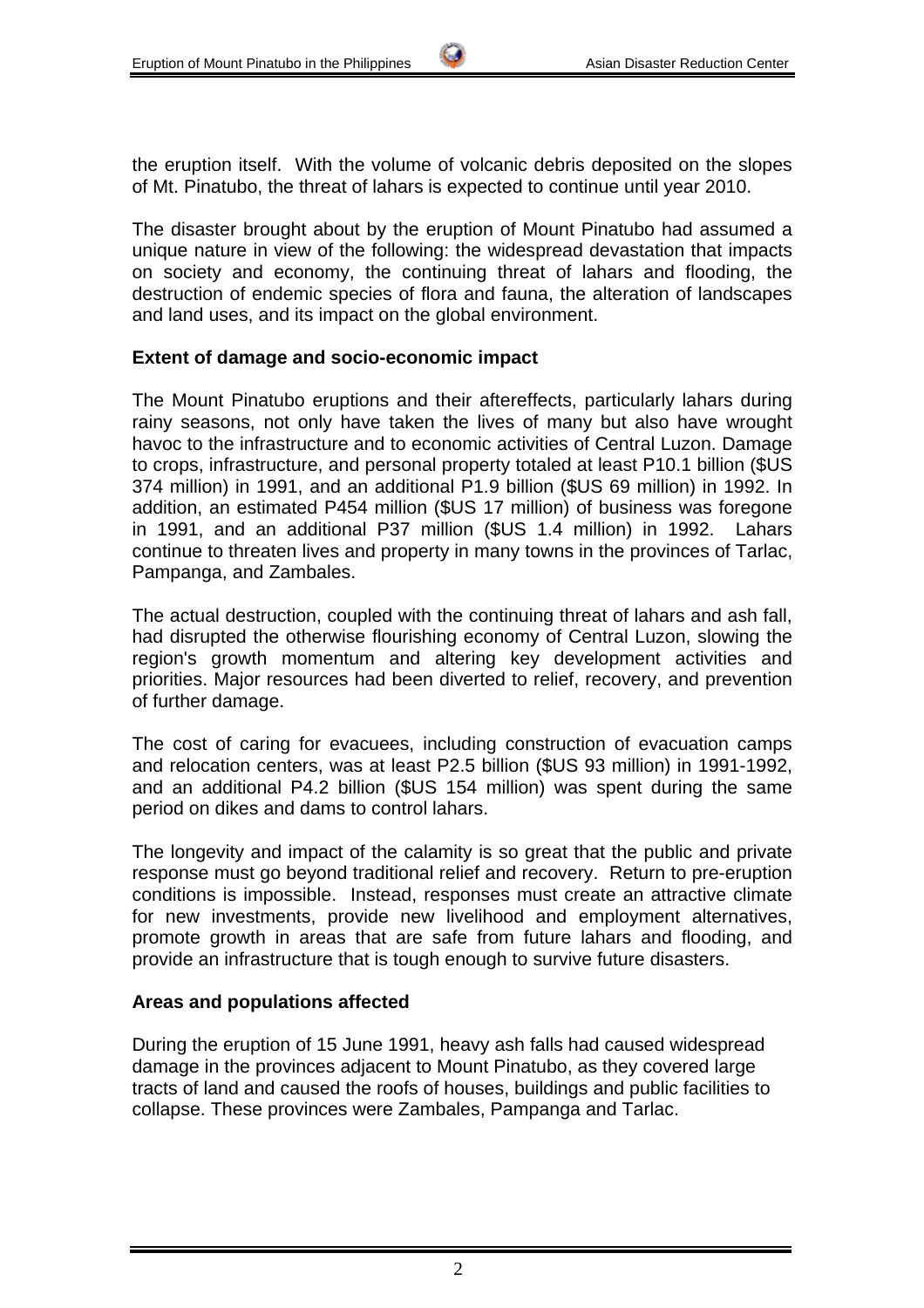the eruption itself. With the volume of volcanic debris deposited on the slopes of Mt. Pinatubo, the threat of lahars is expected to continue until year 2010.

The disaster brought about by the eruption of Mount Pinatubo had assumed a unique nature in view of the following: the widespread devastation that impacts on society and economy, the continuing threat of lahars and flooding, the destruction of endemic species of flora and fauna, the alteration of landscapes and land uses, and its impact on the global environment.

#### **Extent of damage and socio-economic impact**

The Mount Pinatubo eruptions and their aftereffects, particularly lahars during rainy seasons, not only have taken the lives of many but also have wrought havoc to the infrastructure and to economic activities of Central Luzon. Damage to crops, infrastructure, and personal property totaled at least P10.1 billion (\$US 374 million) in 1991, and an additional P1.9 billion (\$US 69 million) in 1992. In addition, an estimated P454 million (\$US 17 million) of business was foregone in 1991, and an additional P37 million (\$US 1.4 million) in 1992. Lahars continue to threaten lives and property in many towns in the provinces of Tarlac, Pampanga, and Zambales.

The actual destruction, coupled with the continuing threat of lahars and ash fall, had disrupted the otherwise flourishing economy of Central Luzon, slowing the region's growth momentum and altering key development activities and priorities. Major resources had been diverted to relief, recovery, and prevention of further damage.

The cost of caring for evacuees, including construction of evacuation camps and relocation centers, was at least P2.5 billion (\$US 93 million) in 1991-1992, and an additional P4.2 billion (\$US 154 million) was spent during the same period on dikes and dams to control lahars.

The longevity and impact of the calamity is so great that the public and private response must go beyond traditional relief and recovery. Return to pre-eruption conditions is impossible. Instead, responses must create an attractive climate for new investments, provide new livelihood and employment alternatives, promote growth in areas that are safe from future lahars and flooding, and provide an infrastructure that is tough enough to survive future disasters.

# **Areas and populations affected**

During the eruption of 15 June 1991, heavy ash falls had caused widespread damage in the provinces adjacent to Mount Pinatubo, as they covered large tracts of land and caused the roofs of houses, buildings and public facilities to collapse. These provinces were Zambales, Pampanga and Tarlac.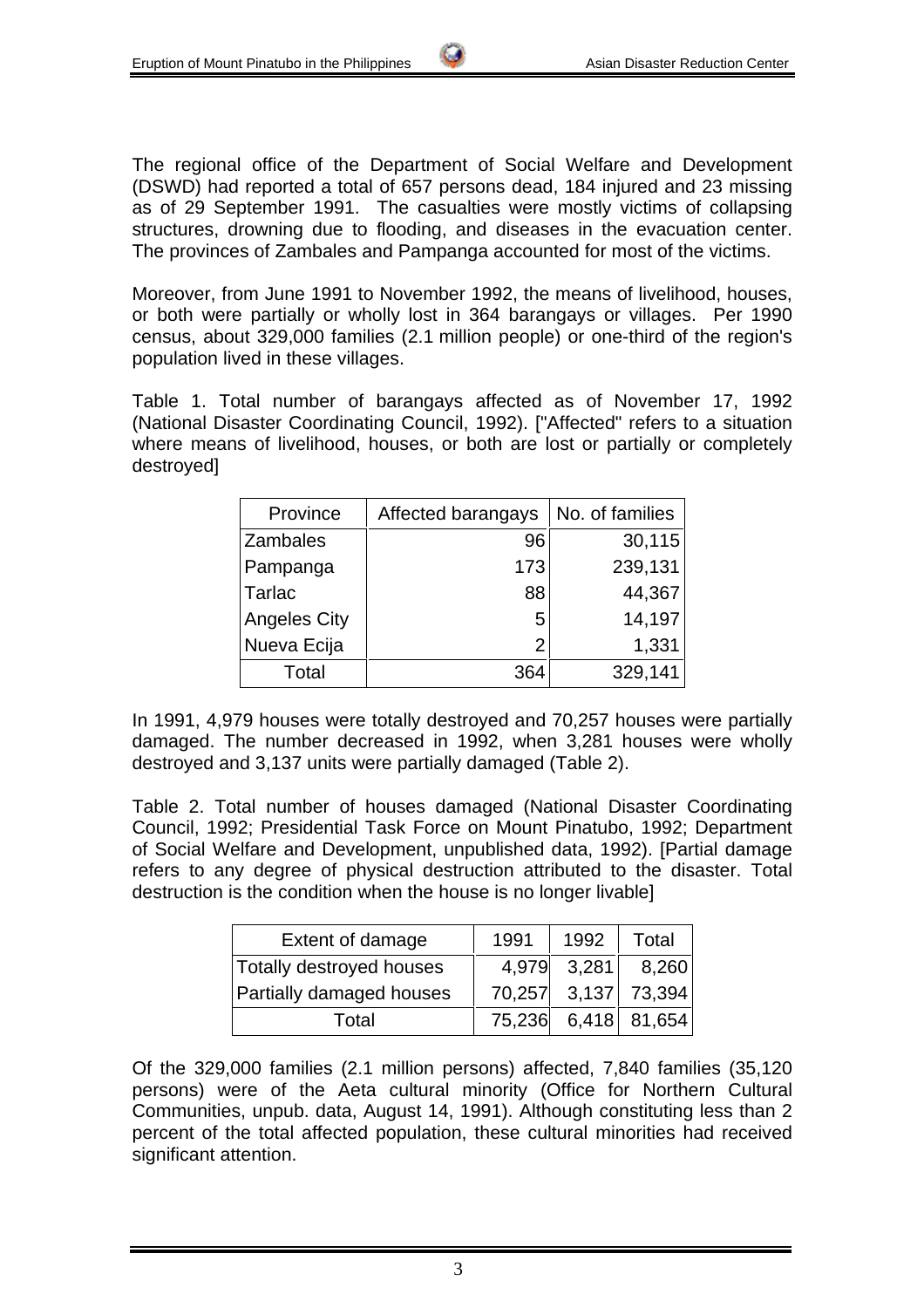The regional office of the Department of Social Welfare and Development (DSWD) had reported a total of 657 persons dead, 184 injured and 23 missing as of 29 September 1991. The casualties were mostly victims of collapsing structures, drowning due to flooding, and diseases in the evacuation center. The provinces of Zambales and Pampanga accounted for most of the victims.

Moreover, from June 1991 to November 1992, the means of livelihood, houses, or both were partially or wholly lost in 364 barangays or villages. Per 1990 census, about 329,000 families (2.1 million people) or one-third of the region's population lived in these villages.

Table 1. Total number of barangays affected as of November 17, 1992 (National Disaster Coordinating Council, 1992). ["Affected" refers to a situation where means of livelihood, houses, or both are lost or partially or completely destroyed]

| Province            | Affected barangays | No. of families |
|---------------------|--------------------|-----------------|
| Zambales            | 96                 | 30,115          |
| Pampanga            | 173                | 239,131         |
| Tarlac              | 88                 | 44,367          |
| <b>Angeles City</b> | 5 <sub>1</sub>     | 14,197          |
| Nueva Ecija         | $\overline{2}$     | 1,331           |
| Total               | 364                | 329,141         |

In 1991, 4,979 houses were totally destroyed and 70,257 houses were partially damaged. The number decreased in 1992, when 3,281 houses were wholly destroyed and 3,137 units were partially damaged (Table 2).

Table 2. Total number of houses damaged (National Disaster Coordinating Council, 1992; Presidential Task Force on Mount Pinatubo, 1992; Department of Social Welfare and Development, unpublished data, 1992). [Partial damage refers to any degree of physical destruction attributed to the disaster. Total destruction is the condition when the house is no longer livable]

| Extent of damage         | 1991 | 1992        | Total               |
|--------------------------|------|-------------|---------------------|
| Totally destroyed houses |      | 4,979 3,281 | 8,260               |
| Partially damaged houses |      |             | 70,257 3,137 73,394 |
| Total                    |      |             | 75,236 6,418 81,654 |

Of the 329,000 families (2.1 million persons) affected, 7,840 families (35,120 persons) were of the Aeta cultural minority (Office for Northern Cultural Communities, unpub. data, August 14, 1991). Although constituting less than 2 percent of the total affected population, these cultural minorities had received significant attention.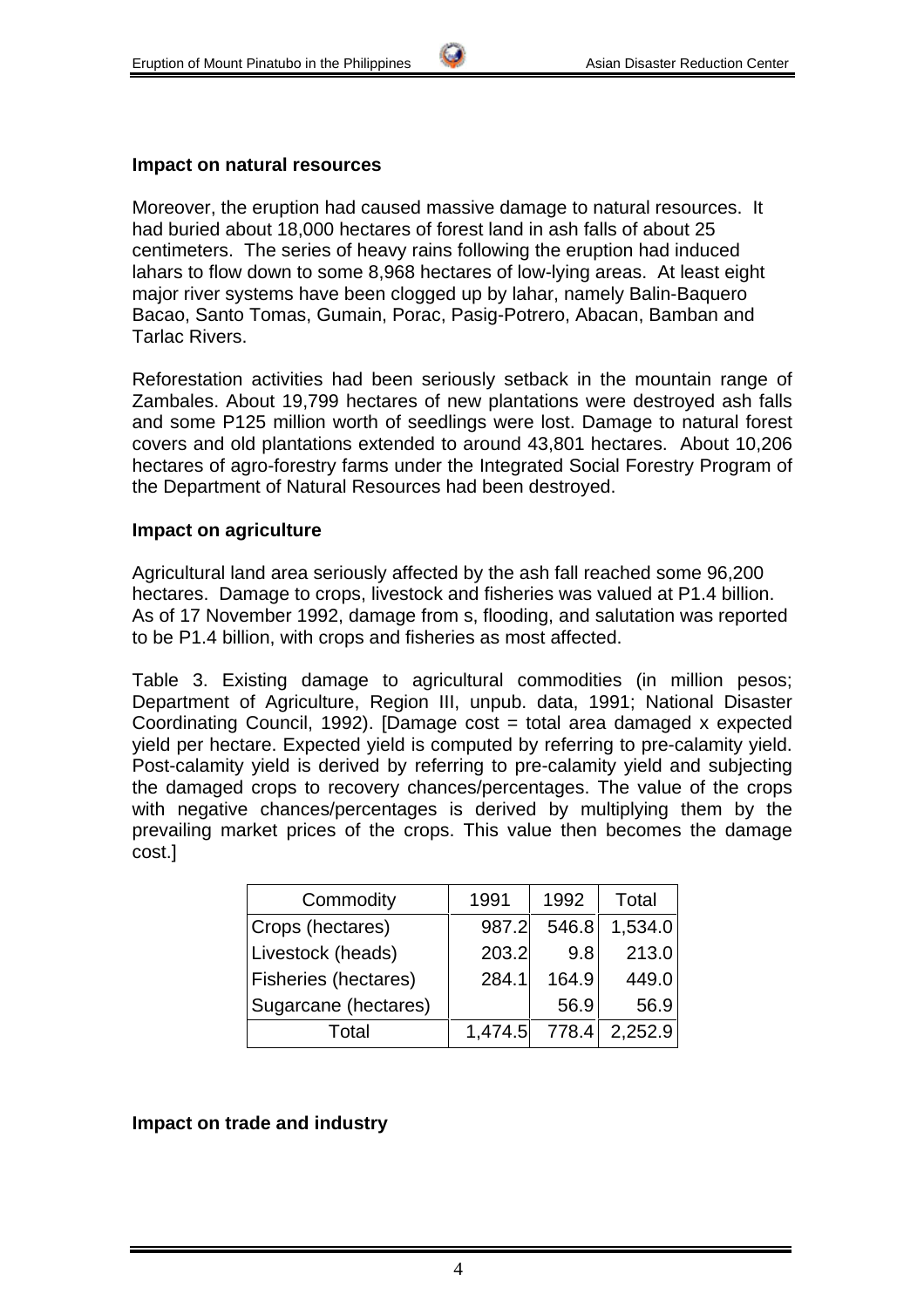#### **Impact on natural resources**

Moreover, the eruption had caused massive damage to natural resources. It had buried about 18,000 hectares of forest land in ash falls of about 25 centimeters. The series of heavy rains following the eruption had induced lahars to flow down to some 8,968 hectares of low-lying areas. At least eight major river systems have been clogged up by lahar, namely Balin-Baquero Bacao, Santo Tomas, Gumain, Porac, Pasig-Potrero, Abacan, Bamban and Tarlac Rivers.

Reforestation activities had been seriously setback in the mountain range of Zambales. About 19,799 hectares of new plantations were destroyed ash falls and some P125 million worth of seedlings were lost. Damage to natural forest covers and old plantations extended to around 43,801 hectares. About 10,206 hectares of agro-forestry farms under the Integrated Social Forestry Program of the Department of Natural Resources had been destroyed.

#### **Impact on agriculture**

Agricultural land area seriously affected by the ash fall reached some 96,200 hectares. Damage to crops, livestock and fisheries was valued at P1.4 billion. As of 17 November 1992, damage from s, flooding, and salutation was reported to be P1.4 billion, with crops and fisheries as most affected.

Table 3. Existing damage to agricultural commodities (in million pesos; Department of Agriculture, Region III, unpub. data, 1991; National Disaster Coordinating Council, 1992). [Damage cost = total area damaged x expected yield per hectare. Expected yield is computed by referring to pre-calamity yield. Post-calamity yield is derived by referring to pre-calamity yield and subjecting the damaged crops to recovery chances/percentages. The value of the crops with negative chances/percentages is derived by multiplying them by the prevailing market prices of the crops. This value then becomes the damage cost.]

| Commodity                   | 1991    | 1992  | Total   |
|-----------------------------|---------|-------|---------|
| Crops (hectares)            | 987.2   | 546.8 | 1,534.0 |
| Livestock (heads)           | 203.2   | 9.8   | 213.0   |
| <b>Fisheries (hectares)</b> | 284.1   | 164.9 | 449.0   |
| Sugarcane (hectares)        |         | 56.9  | 56.9    |
| Total                       | 1,474.5 | 778.4 | 2,252.9 |

#### **Impact on trade and industry**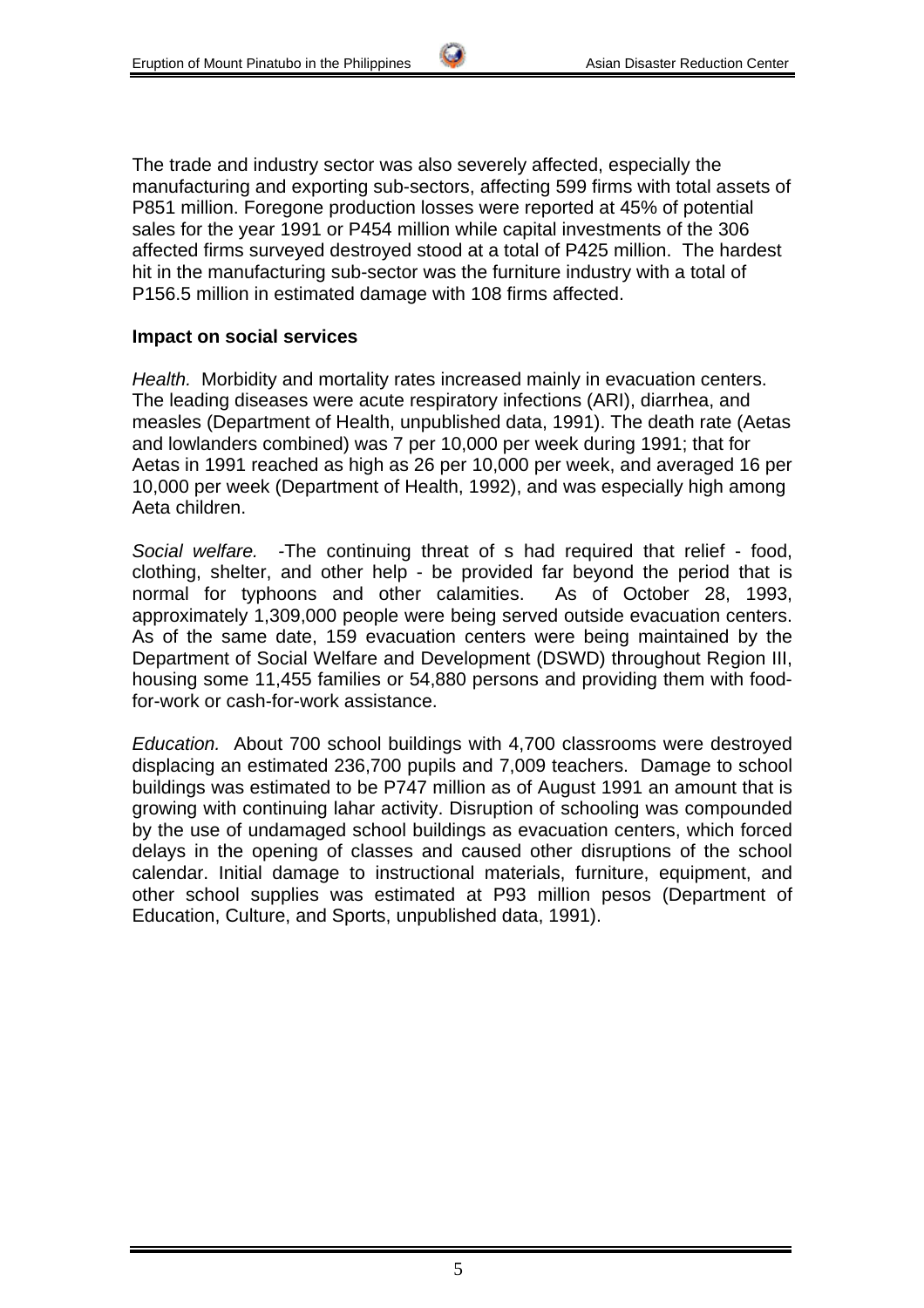The trade and industry sector was also severely affected, especially the manufacturing and exporting sub-sectors, affecting 599 firms with total assets of P851 million. Foregone production losses were reported at 45% of potential sales for the year 1991 or P454 million while capital investments of the 306 affected firms surveyed destroyed stood at a total of P425 million. The hardest hit in the manufacturing sub-sector was the furniture industry with a total of P156.5 million in estimated damage with 108 firms affected.

#### **Impact on social services**

*Health.* Morbidity and mortality rates increased mainly in evacuation centers. The leading diseases were acute respiratory infections (ARI), diarrhea, and measles (Department of Health, unpublished data, 1991). The death rate (Aetas and lowlanders combined) was 7 per 10,000 per week during 1991; that for Aetas in 1991 reached as high as 26 per 10,000 per week, and averaged 16 per 10,000 per week (Department of Health, 1992), and was especially high among Aeta children.

*Social welfare. -*The continuing threat of s had required that relief - food, clothing, shelter, and other help - be provided far beyond the period that is normal for typhoons and other calamities. As of October 28, 1993, approximately 1,309,000 people were being served outside evacuation centers. As of the same date, 159 evacuation centers were being maintained by the Department of Social Welfare and Development (DSWD) throughout Region III, housing some 11,455 families or 54,880 persons and providing them with foodfor-work or cash-for-work assistance.

*Education.* About 700 school buildings with 4,700 classrooms were destroyed displacing an estimated 236,700 pupils and 7,009 teachers. Damage to school buildings was estimated to be P747 million as of August 1991 an amount that is growing with continuing lahar activity. Disruption of schooling was compounded by the use of undamaged school buildings as evacuation centers, which forced delays in the opening of classes and caused other disruptions of the school calendar. Initial damage to instructional materials, furniture, equipment, and other school supplies was estimated at P93 million pesos (Department of Education, Culture, and Sports, unpublished data, 1991).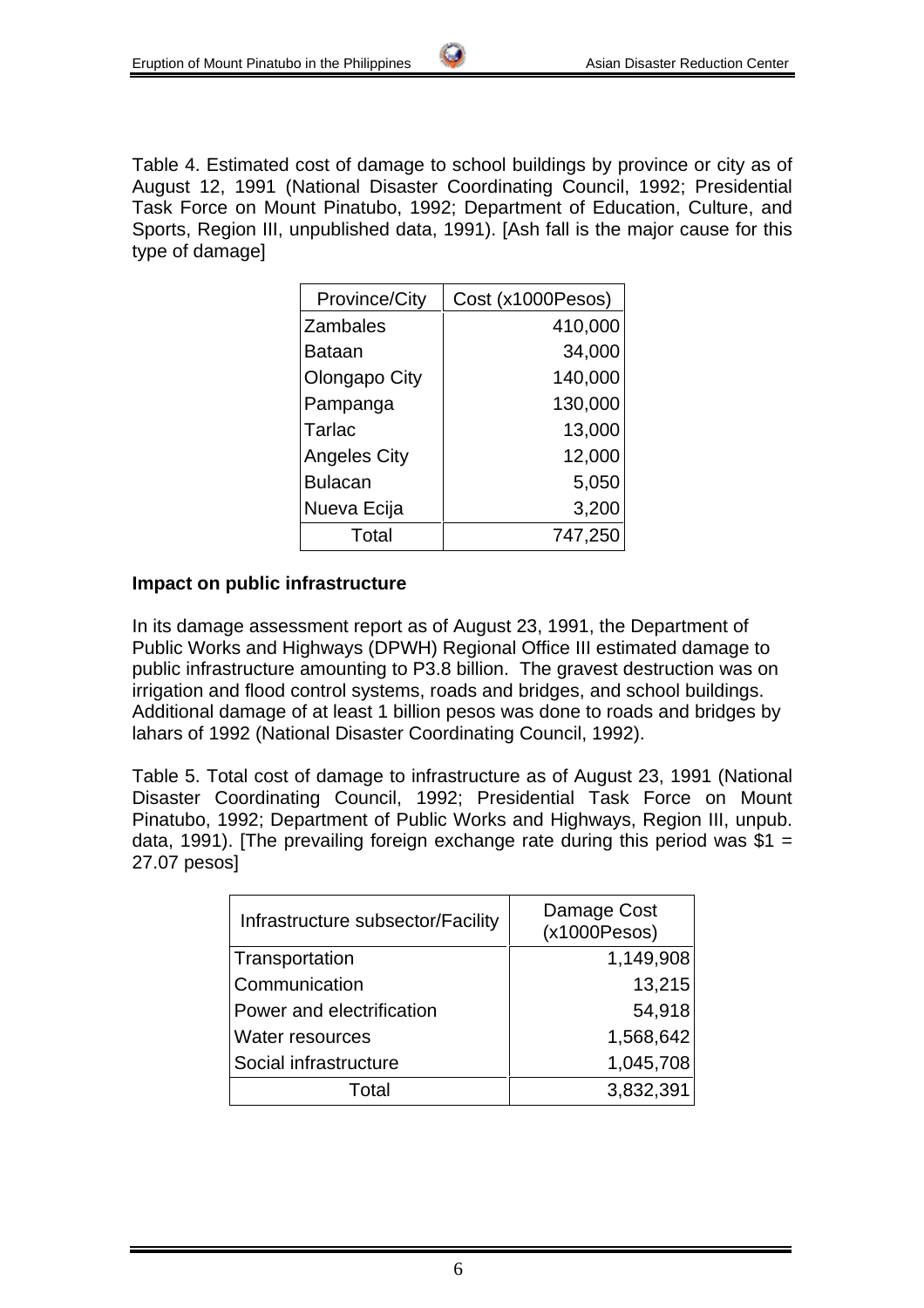Table 4. Estimated cost of damage to school buildings by province or city as of August 12, 1991 (National Disaster Coordinating Council, 1992; Presidential Task Force on Mount Pinatubo, 1992; Department of Education, Culture, and Sports, Region III, unpublished data, 1991). [Ash fall is the major cause for this type of damage]

| <b>Province/City</b> | Cost (x1000Pesos) |  |  |
|----------------------|-------------------|--|--|
| <b>Zambales</b>      | 410,000           |  |  |
| Bataan               | 34,000            |  |  |
| Olongapo City        | 140,000           |  |  |
| Pampanga             | 130,000           |  |  |
| Tarlac               | 13,000            |  |  |
| <b>Angeles City</b>  | 12,000            |  |  |
| <b>Bulacan</b>       | 5,050             |  |  |
| Nueva Ecija          | 3,200             |  |  |
| Total                | 747,250           |  |  |

#### **Impact on public infrastructure**

In its damage assessment report as of August 23, 1991, the Department of Public Works and Highways (DPWH) Regional Office III estimated damage to public infrastructure amounting to P3.8 billion. The gravest destruction was on irrigation and flood control systems, roads and bridges, and school buildings. Additional damage of at least 1 billion pesos was done to roads and bridges by lahars of 1992 (National Disaster Coordinating Council, 1992).

Table 5. Total cost of damage to infrastructure as of August 23, 1991 (National Disaster Coordinating Council, 1992; Presidential Task Force on Mount Pinatubo, 1992; Department of Public Works and Highways, Region III, unpub. data, 1991). [The prevailing foreign exchange rate during this period was  $$1 =$ 27.07 pesos]

| Infrastructure subsector/Facility | Damage Cost<br>(x1000Pesos) |  |  |
|-----------------------------------|-----------------------------|--|--|
| Transportation                    | 1,149,908                   |  |  |
| Communication                     | 13,215                      |  |  |
| Power and electrification         | 54,918                      |  |  |
| <b>Water resources</b>            | 1,568,642                   |  |  |
| Social infrastructure             | 1,045,708                   |  |  |
| Total                             | 3,832,391                   |  |  |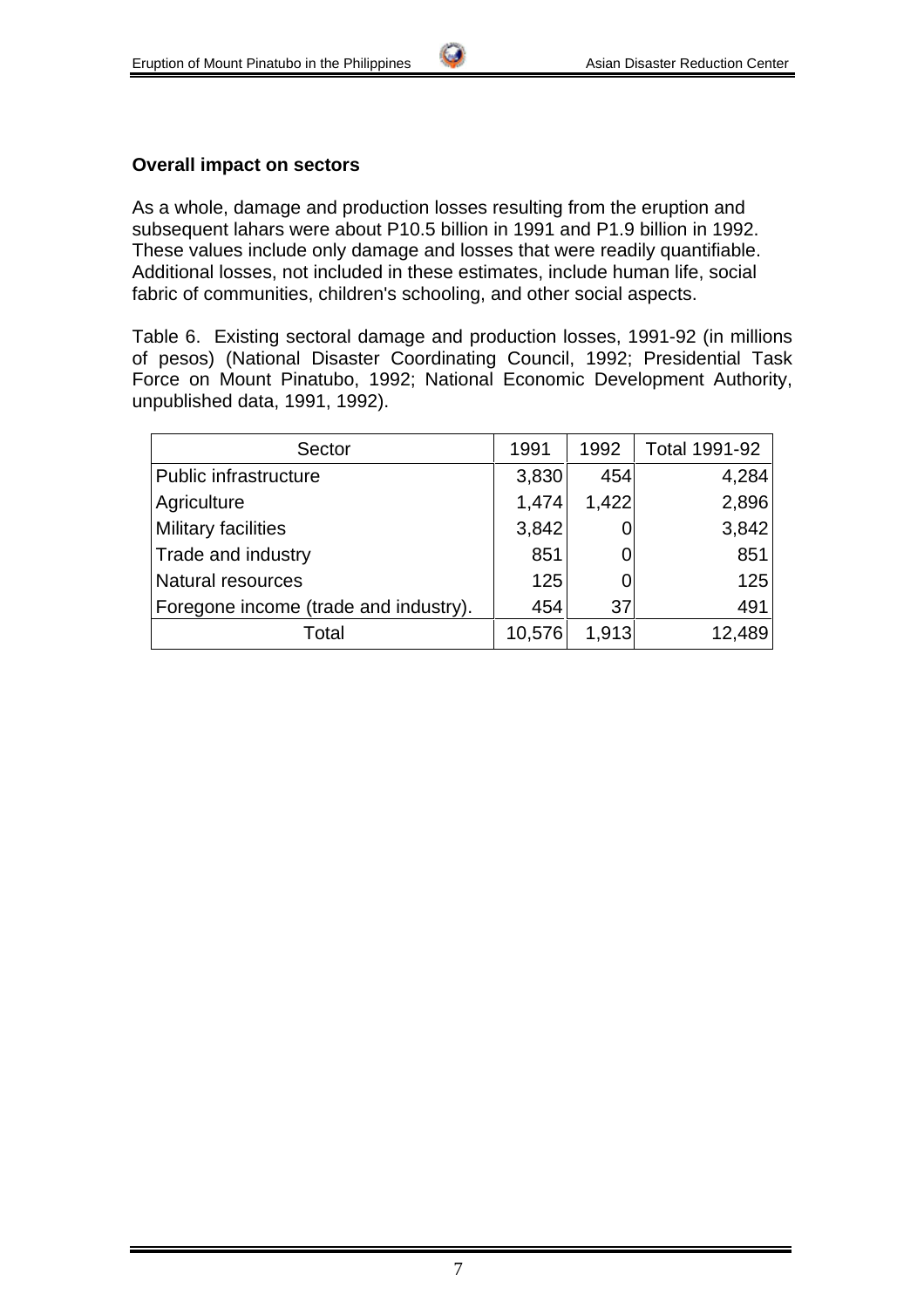#### **Overall impact on sectors**

As a whole, damage and production losses resulting from the eruption and subsequent lahars were about P10.5 billion in 1991 and P1.9 billion in 1992. These values include only damage and losses that were readily quantifiable. Additional losses, not included in these estimates, include human life, social fabric of communities, children's schooling, and other social aspects.

Table 6. Existing sectoral damage and production losses, 1991-92 (in millions of pesos) (National Disaster Coordinating Council, 1992; Presidential Task Force on Mount Pinatubo, 1992; National Economic Development Authority, unpublished data, 1991, 1992).

| Sector                                | 1991   | 1992  | Total 1991-92 |
|---------------------------------------|--------|-------|---------------|
| Public infrastructure                 | 3,830  | 454   | 4,284         |
| Agriculture                           | 1,474  | 1,422 | 2,896         |
| <b>Military facilities</b>            | 3,842  |       | 3,842         |
| Trade and industry                    | 851    |       | 851           |
| <b>Natural resources</b>              | 125    |       | 125           |
| Foregone income (trade and industry). | 454    | 37    | 491           |
| Total                                 | 10,576 | 1,913 | 12,489        |

7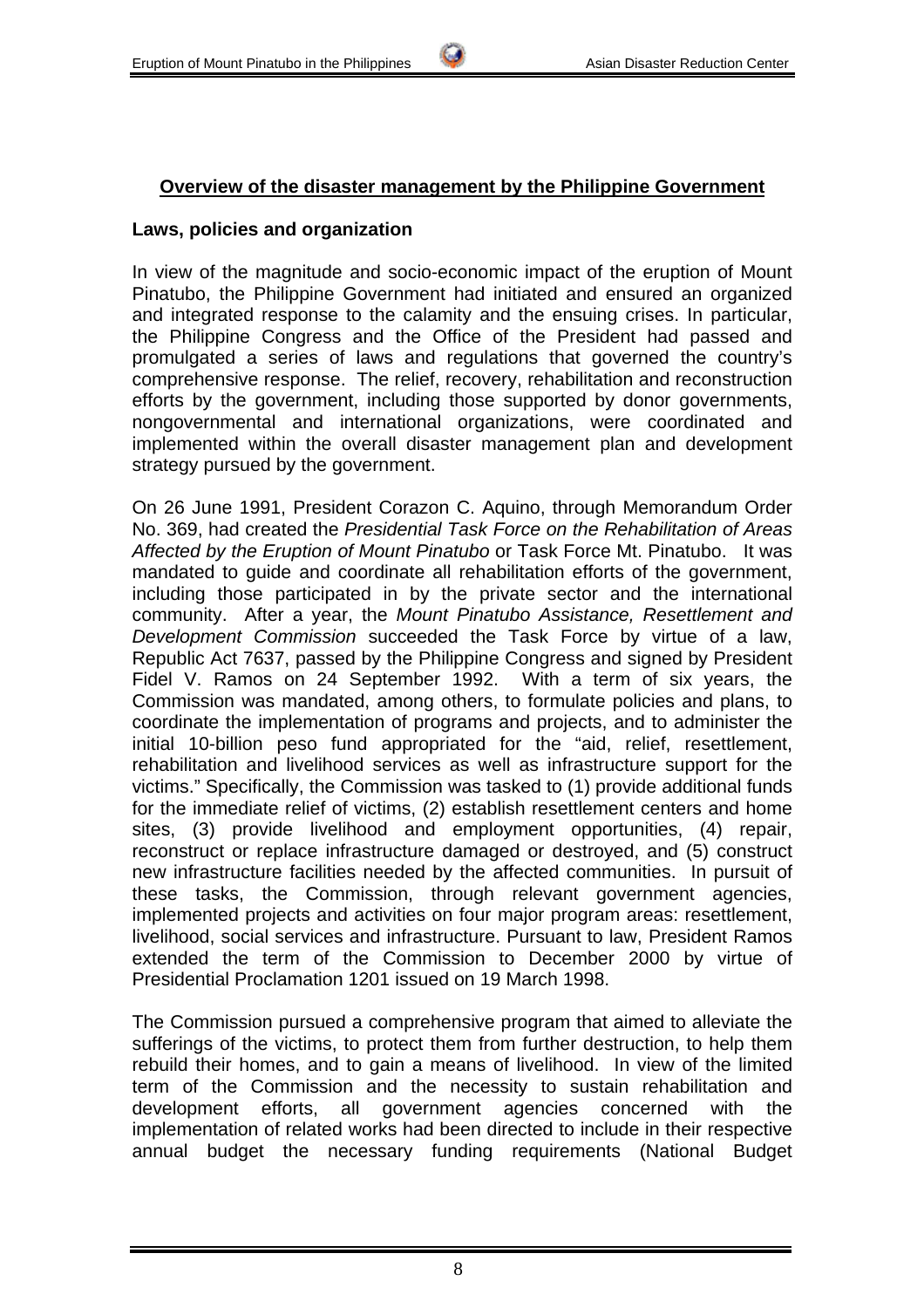### **Overview of the disaster management by the Philippine Government**

#### **Laws, policies and organization**

In view of the magnitude and socio-economic impact of the eruption of Mount Pinatubo, the Philippine Government had initiated and ensured an organized and integrated response to the calamity and the ensuing crises. In particular, the Philippine Congress and the Office of the President had passed and promulgated a series of laws and regulations that governed the country's comprehensive response. The relief, recovery, rehabilitation and reconstruction efforts by the government, including those supported by donor governments, nongovernmental and international organizations, were coordinated and implemented within the overall disaster management plan and development strategy pursued by the government.

On 26 June 1991, President Corazon C. Aquino, through Memorandum Order No. 369, had created the *Presidential Task Force on the Rehabilitation of Areas Affected by the Eruption of Mount Pinatubo* or Task Force Mt. Pinatubo. It was mandated to guide and coordinate all rehabilitation efforts of the government, including those participated in by the private sector and the international community. After a year, the *Mount Pinatubo Assistance, Resettlement and Development Commission* succeeded the Task Force by virtue of a law, Republic Act 7637, passed by the Philippine Congress and signed by President Fidel V. Ramos on 24 September 1992. With a term of six years, the Commission was mandated, among others, to formulate policies and plans, to coordinate the implementation of programs and projects, and to administer the initial 10-billion peso fund appropriated for the "aid, relief, resettlement, rehabilitation and livelihood services as well as infrastructure support for the victims." Specifically, the Commission was tasked to (1) provide additional funds for the immediate relief of victims, (2) establish resettlement centers and home sites, (3) provide livelihood and employment opportunities, (4) repair, reconstruct or replace infrastructure damaged or destroyed, and (5) construct new infrastructure facilities needed by the affected communities. In pursuit of these tasks, the Commission, through relevant government agencies, implemented projects and activities on four major program areas: resettlement, livelihood, social services and infrastructure. Pursuant to law, President Ramos extended the term of the Commission to December 2000 by virtue of Presidential Proclamation 1201 issued on 19 March 1998.

The Commission pursued a comprehensive program that aimed to alleviate the sufferings of the victims, to protect them from further destruction, to help them rebuild their homes, and to gain a means of livelihood. In view of the limited term of the Commission and the necessity to sustain rehabilitation and development efforts, all government agencies concerned with the implementation of related works had been directed to include in their respective annual budget the necessary funding requirements (National Budget

8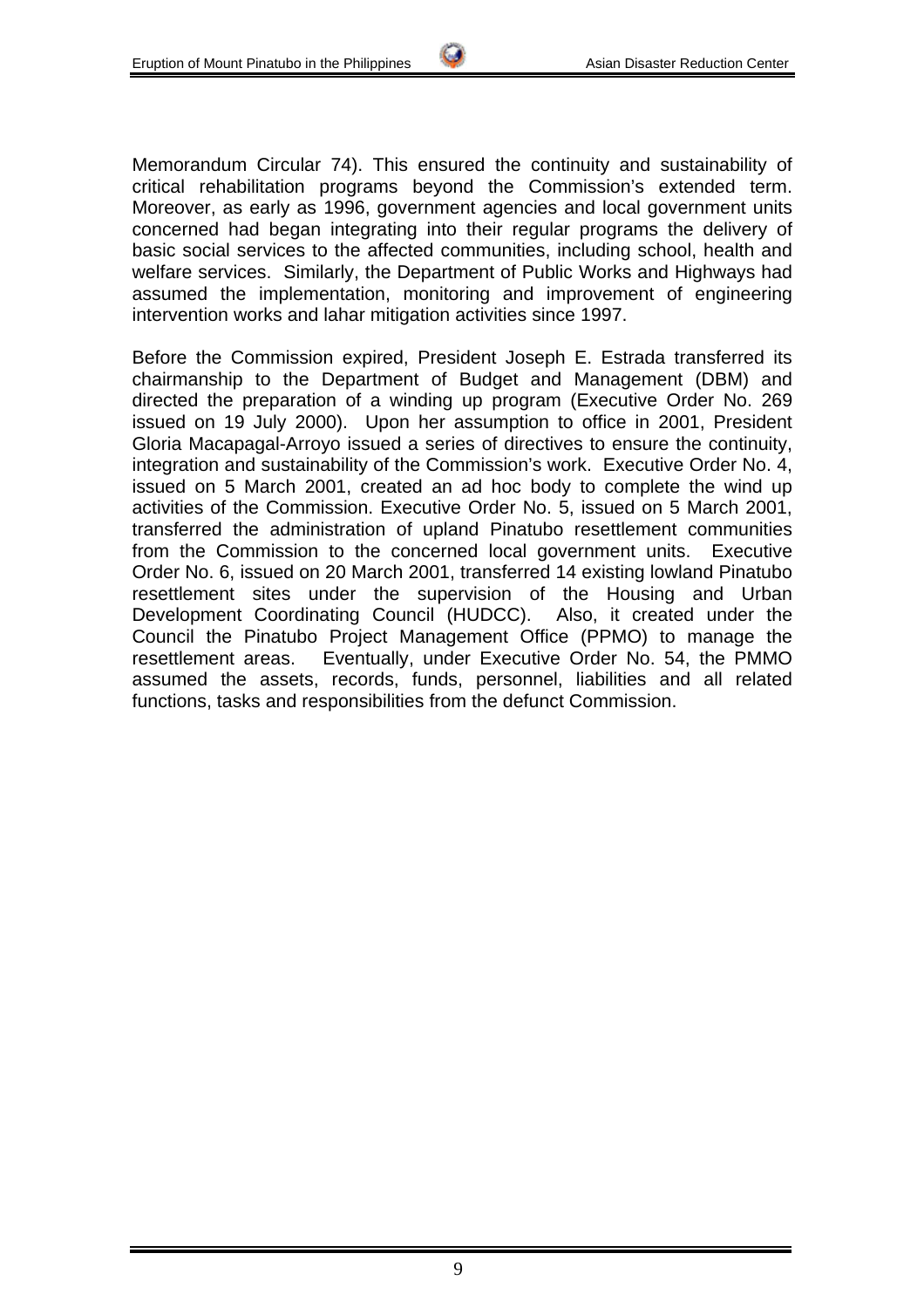Memorandum Circular 74). This ensured the continuity and sustainability of critical rehabilitation programs beyond the Commission's extended term. Moreover, as early as 1996, government agencies and local government units concerned had began integrating into their regular programs the delivery of basic social services to the affected communities, including school, health and welfare services. Similarly, the Department of Public Works and Highways had assumed the implementation, monitoring and improvement of engineering intervention works and lahar mitigation activities since 1997.

Before the Commission expired, President Joseph E. Estrada transferred its chairmanship to the Department of Budget and Management (DBM) and directed the preparation of a winding up program (Executive Order No. 269 issued on 19 July 2000). Upon her assumption to office in 2001, President Gloria Macapagal-Arroyo issued a series of directives to ensure the continuity, integration and sustainability of the Commission's work. Executive Order No. 4, issued on 5 March 2001, created an ad hoc body to complete the wind up activities of the Commission. Executive Order No. 5, issued on 5 March 2001, transferred the administration of upland Pinatubo resettlement communities from the Commission to the concerned local government units. Executive Order No. 6, issued on 20 March 2001, transferred 14 existing lowland Pinatubo resettlement sites under the supervision of the Housing and Urban Development Coordinating Council (HUDCC). Also, it created under the Council the Pinatubo Project Management Office (PPMO) to manage the resettlement areas. Eventually, under Executive Order No. 54, the PMMO assumed the assets, records, funds, personnel, liabilities and all related functions, tasks and responsibilities from the defunct Commission.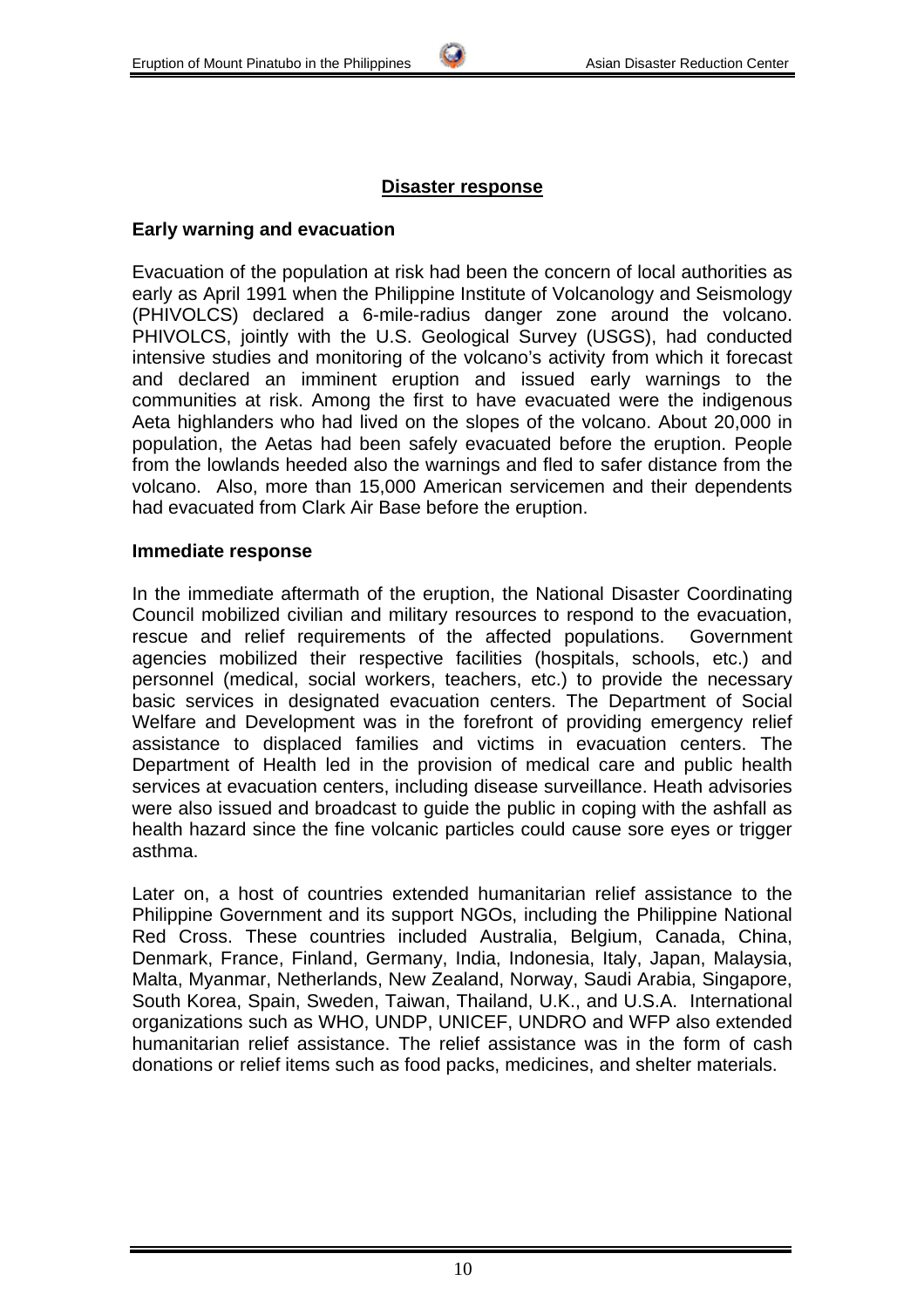# **Disaster response**

### **Early warning and evacuation**

Evacuation of the population at risk had been the concern of local authorities as early as April 1991 when the Philippine Institute of Volcanology and Seismology (PHIVOLCS) declared a 6-mile-radius danger zone around the volcano. PHIVOLCS, jointly with the U.S. Geological Survey (USGS), had conducted intensive studies and monitoring of the volcano's activity from which it forecast and declared an imminent eruption and issued early warnings to the communities at risk. Among the first to have evacuated were the indigenous Aeta highlanders who had lived on the slopes of the volcano. About 20,000 in population, the Aetas had been safely evacuated before the eruption. People from the lowlands heeded also the warnings and fled to safer distance from the volcano. Also, more than 15,000 American servicemen and their dependents had evacuated from Clark Air Base before the eruption.

#### **Immediate response**

In the immediate aftermath of the eruption, the National Disaster Coordinating Council mobilized civilian and military resources to respond to the evacuation, rescue and relief requirements of the affected populations. Government agencies mobilized their respective facilities (hospitals, schools, etc.) and personnel (medical, social workers, teachers, etc.) to provide the necessary basic services in designated evacuation centers. The Department of Social Welfare and Development was in the forefront of providing emergency relief assistance to displaced families and victims in evacuation centers. The Department of Health led in the provision of medical care and public health services at evacuation centers, including disease surveillance. Heath advisories were also issued and broadcast to quide the public in coping with the ashfall as health hazard since the fine volcanic particles could cause sore eyes or trigger asthma.

Later on, a host of countries extended humanitarian relief assistance to the Philippine Government and its support NGOs, including the Philippine National Red Cross. These countries included Australia, Belgium, Canada, China, Denmark, France, Finland, Germany, India, Indonesia, Italy, Japan, Malaysia, Malta, Myanmar, Netherlands, New Zealand, Norway, Saudi Arabia, Singapore, South Korea, Spain, Sweden, Taiwan, Thailand, U.K., and U.S.A. International organizations such as WHO, UNDP, UNICEF, UNDRO and WFP also extended humanitarian relief assistance. The relief assistance was in the form of cash donations or relief items such as food packs, medicines, and shelter materials.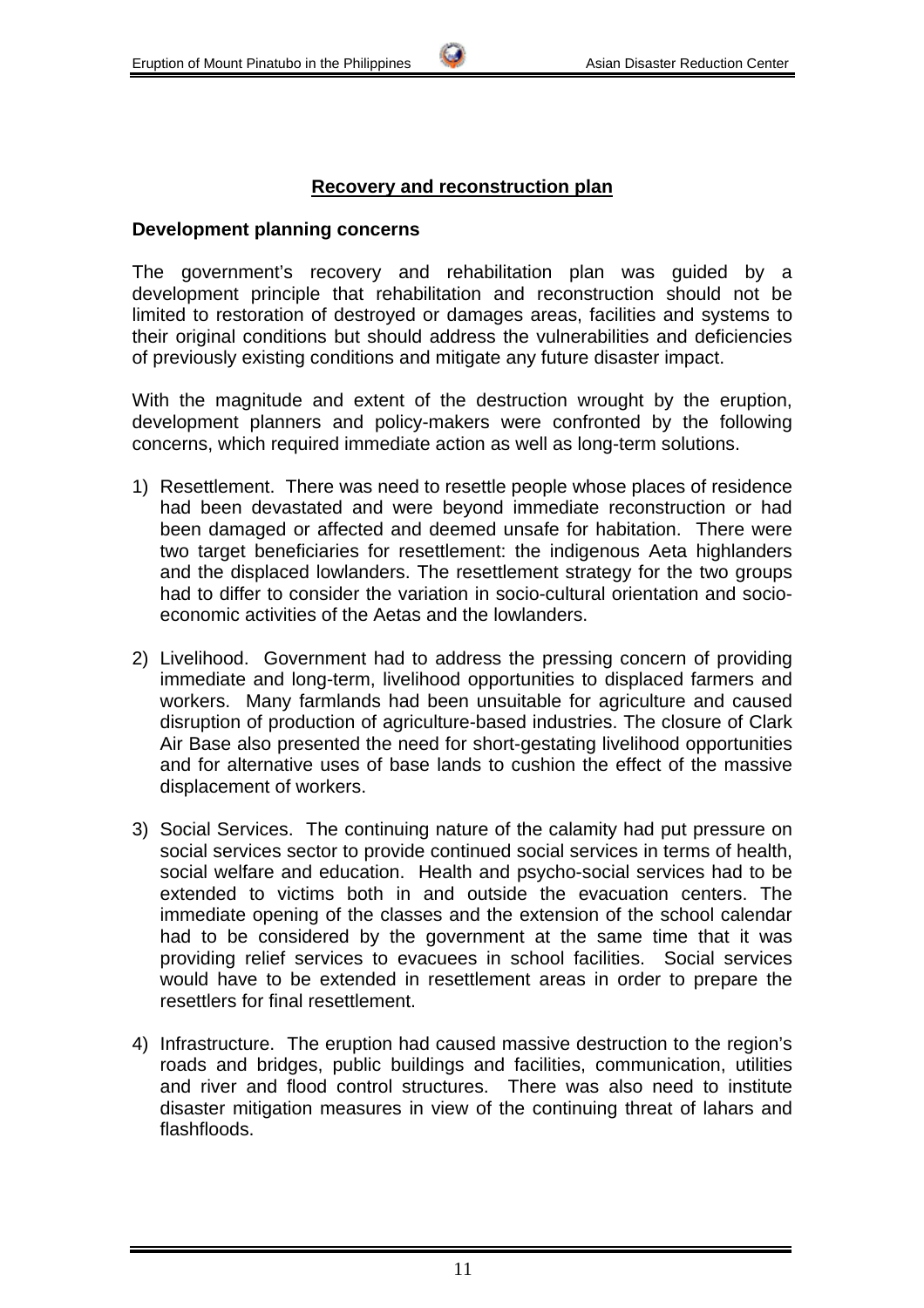#### **Recovery and reconstruction plan**

#### **Development planning concerns**

The government's recovery and rehabilitation plan was guided by a development principle that rehabilitation and reconstruction should not be limited to restoration of destroyed or damages areas, facilities and systems to their original conditions but should address the vulnerabilities and deficiencies of previously existing conditions and mitigate any future disaster impact.

With the magnitude and extent of the destruction wrought by the eruption, development planners and policy-makers were confronted by the following concerns, which required immediate action as well as long-term solutions.

- 1) Resettlement. There was need to resettle people whose places of residence had been devastated and were beyond immediate reconstruction or had been damaged or affected and deemed unsafe for habitation. There were two target beneficiaries for resettlement: the indigenous Aeta highlanders and the displaced lowlanders. The resettlement strategy for the two groups had to differ to consider the variation in socio-cultural orientation and socioeconomic activities of the Aetas and the lowlanders.
- 2) Livelihood. Government had to address the pressing concern of providing immediate and long-term, livelihood opportunities to displaced farmers and workers. Many farmlands had been unsuitable for agriculture and caused disruption of production of agriculture-based industries. The closure of Clark Air Base also presented the need for short-gestating livelihood opportunities and for alternative uses of base lands to cushion the effect of the massive displacement of workers.
- 3) Social Services. The continuing nature of the calamity had put pressure on social services sector to provide continued social services in terms of health, social welfare and education. Health and psycho-social services had to be extended to victims both in and outside the evacuation centers. The immediate opening of the classes and the extension of the school calendar had to be considered by the government at the same time that it was providing relief services to evacuees in school facilities. Social services would have to be extended in resettlement areas in order to prepare the resettlers for final resettlement.
- 4) Infrastructure. The eruption had caused massive destruction to the region's roads and bridges, public buildings and facilities, communication, utilities and river and flood control structures. There was also need to institute disaster mitigation measures in view of the continuing threat of lahars and flashfloods.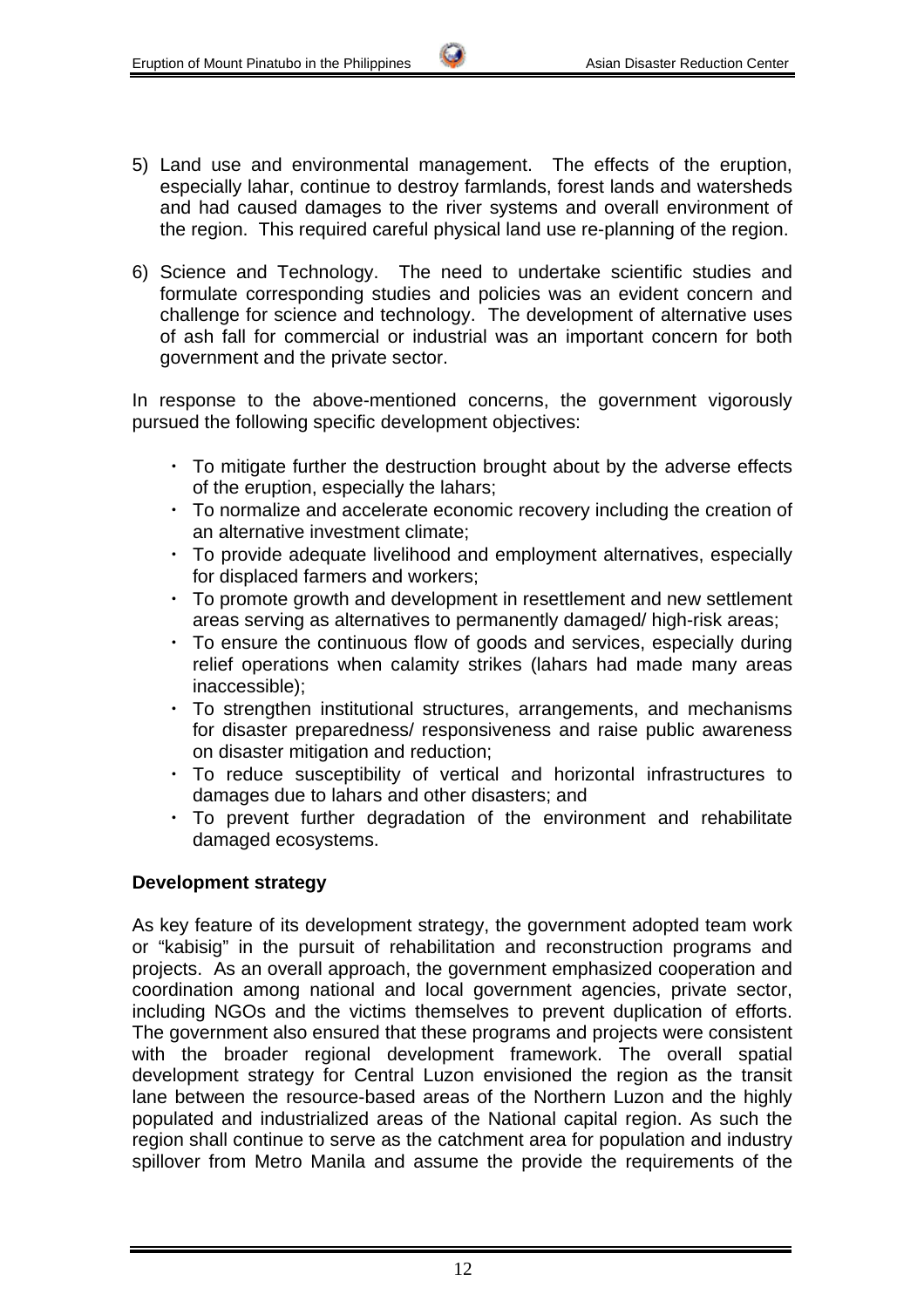- 5) Land use and environmental management. The effects of the eruption, especially lahar, continue to destroy farmlands, forest lands and watersheds and had caused damages to the river systems and overall environment of the region. This required careful physical land use re-planning of the region.
- 6) Science and Technology. The need to undertake scientific studies and formulate corresponding studies and policies was an evident concern and challenge for science and technology. The development of alternative uses of ash fall for commercial or industrial was an important concern for both government and the private sector.

In response to the above-mentioned concerns, the government vigorously pursued the following specific development objectives:

- ・ To mitigate further the destruction brought about by the adverse effects of the eruption, especially the lahars;
- ・ To normalize and accelerate economic recovery including the creation of an alternative investment climate;
- ・ To provide adequate livelihood and employment alternatives, especially for displaced farmers and workers;
- ・ To promote growth and development in resettlement and new settlement areas serving as alternatives to permanently damaged/ high-risk areas;
- ・ To ensure the continuous flow of goods and services, especially during relief operations when calamity strikes (lahars had made many areas inaccessible);
- ・ To strengthen institutional structures, arrangements, and mechanisms for disaster preparedness/ responsiveness and raise public awareness on disaster mitigation and reduction;
- ・ To reduce susceptibility of vertical and horizontal infrastructures to damages due to lahars and other disasters; and
- ・ To prevent further degradation of the environment and rehabilitate damaged ecosystems.

#### **Development strategy**

As key feature of its development strategy, the government adopted team work or "kabisig" in the pursuit of rehabilitation and reconstruction programs and projects. As an overall approach, the government emphasized cooperation and coordination among national and local government agencies, private sector, including NGOs and the victims themselves to prevent duplication of efforts. The government also ensured that these programs and projects were consistent with the broader regional development framework. The overall spatial development strategy for Central Luzon envisioned the region as the transit lane between the resource-based areas of the Northern Luzon and the highly populated and industrialized areas of the National capital region. As such the region shall continue to serve as the catchment area for population and industry spillover from Metro Manila and assume the provide the requirements of the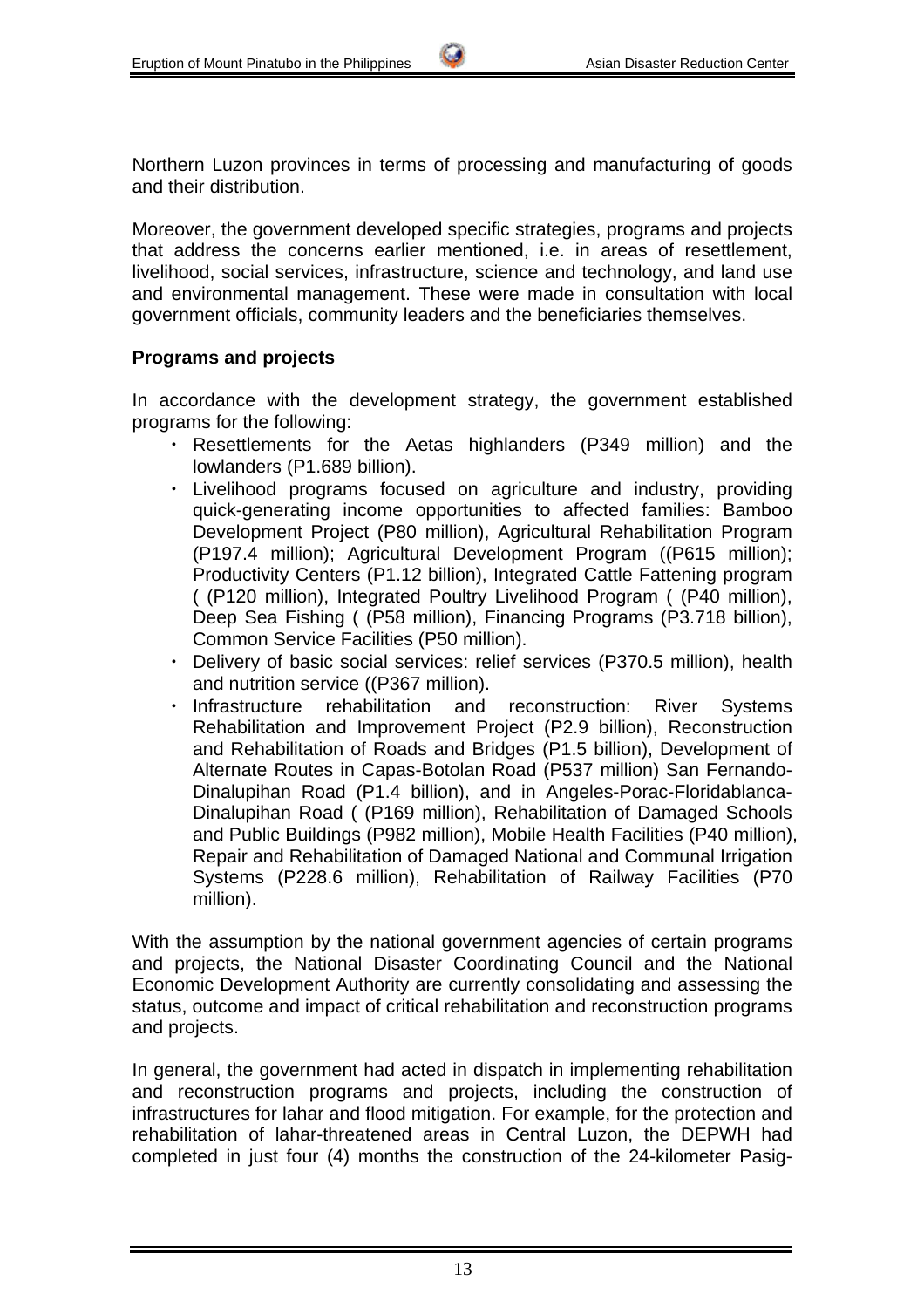Northern Luzon provinces in terms of processing and manufacturing of goods and their distribution.

Moreover, the government developed specific strategies, programs and projects that address the concerns earlier mentioned, i.e. in areas of resettlement, livelihood, social services, infrastructure, science and technology, and land use and environmental management. These were made in consultation with local government officials, community leaders and the beneficiaries themselves.

#### **Programs and projects**

In accordance with the development strategy, the government established programs for the following:

- ・ Resettlements for the Aetas highlanders (P349 million) and the lowlanders (P1.689 billion).
- ・ Livelihood programs focused on agriculture and industry, providing quick-generating income opportunities to affected families: Bamboo Development Project (P80 million), Agricultural Rehabilitation Program (P197.4 million); Agricultural Development Program ((P615 million); Productivity Centers (P1.12 billion), Integrated Cattle Fattening program ( (P120 million), Integrated Poultry Livelihood Program ( (P40 million), Deep Sea Fishing ( (P58 million), Financing Programs (P3.718 billion), Common Service Facilities (P50 million).
- ・ Delivery of basic social services: relief services (P370.5 million), health and nutrition service ((P367 million).
- ・ Infrastructure rehabilitation and reconstruction: River Systems Rehabilitation and Improvement Project (P2.9 billion), Reconstruction and Rehabilitation of Roads and Bridges (P1.5 billion), Development of Alternate Routes in Capas-Botolan Road (P537 million) San Fernando-Dinalupihan Road (P1.4 billion), and in Angeles-Porac-Floridablanca-Dinalupihan Road ( (P169 million), Rehabilitation of Damaged Schools and Public Buildings (P982 million), Mobile Health Facilities (P40 million), Repair and Rehabilitation of Damaged National and Communal Irrigation Systems (P228.6 million), Rehabilitation of Railway Facilities (P70 million).

With the assumption by the national government agencies of certain programs and projects, the National Disaster Coordinating Council and the National Economic Development Authority are currently consolidating and assessing the status, outcome and impact of critical rehabilitation and reconstruction programs and projects.

In general, the government had acted in dispatch in implementing rehabilitation and reconstruction programs and projects, including the construction of infrastructures for lahar and flood mitigation. For example, for the protection and rehabilitation of lahar-threatened areas in Central Luzon, the DEPWH had completed in just four (4) months the construction of the 24-kilometer Pasig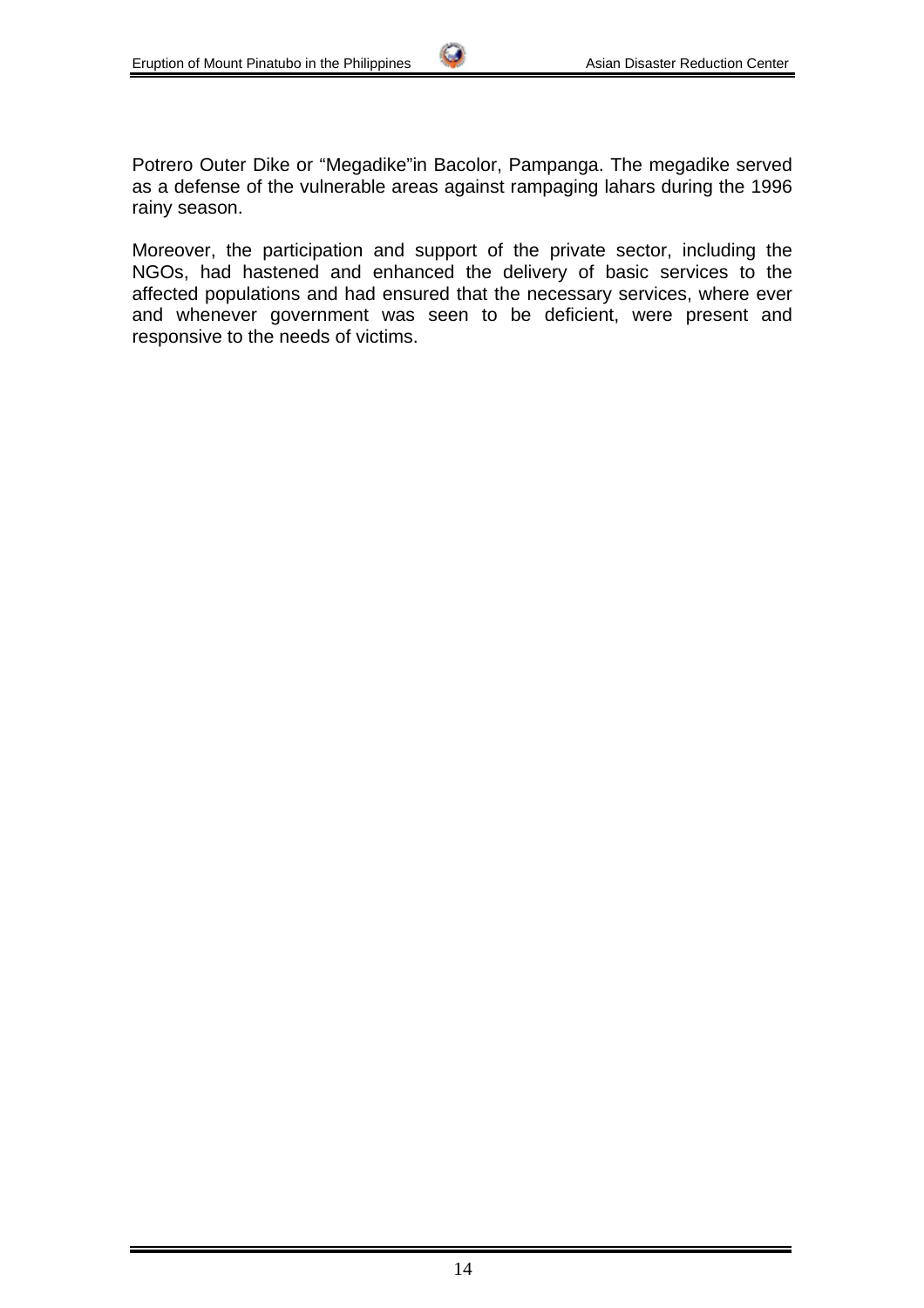Potrero Outer Dike or "Megadike"in Bacolor, Pampanga. The megadike served as a defense of the vulnerable areas against rampaging lahars during the 1996 rainy season.

Moreover, the participation and support of the private sector, including the NGOs, had hastened and enhanced the delivery of basic services to the affected populations and had ensured that the necessary services, where ever and whenever government was seen to be deficient, were present and responsive to the needs of victims.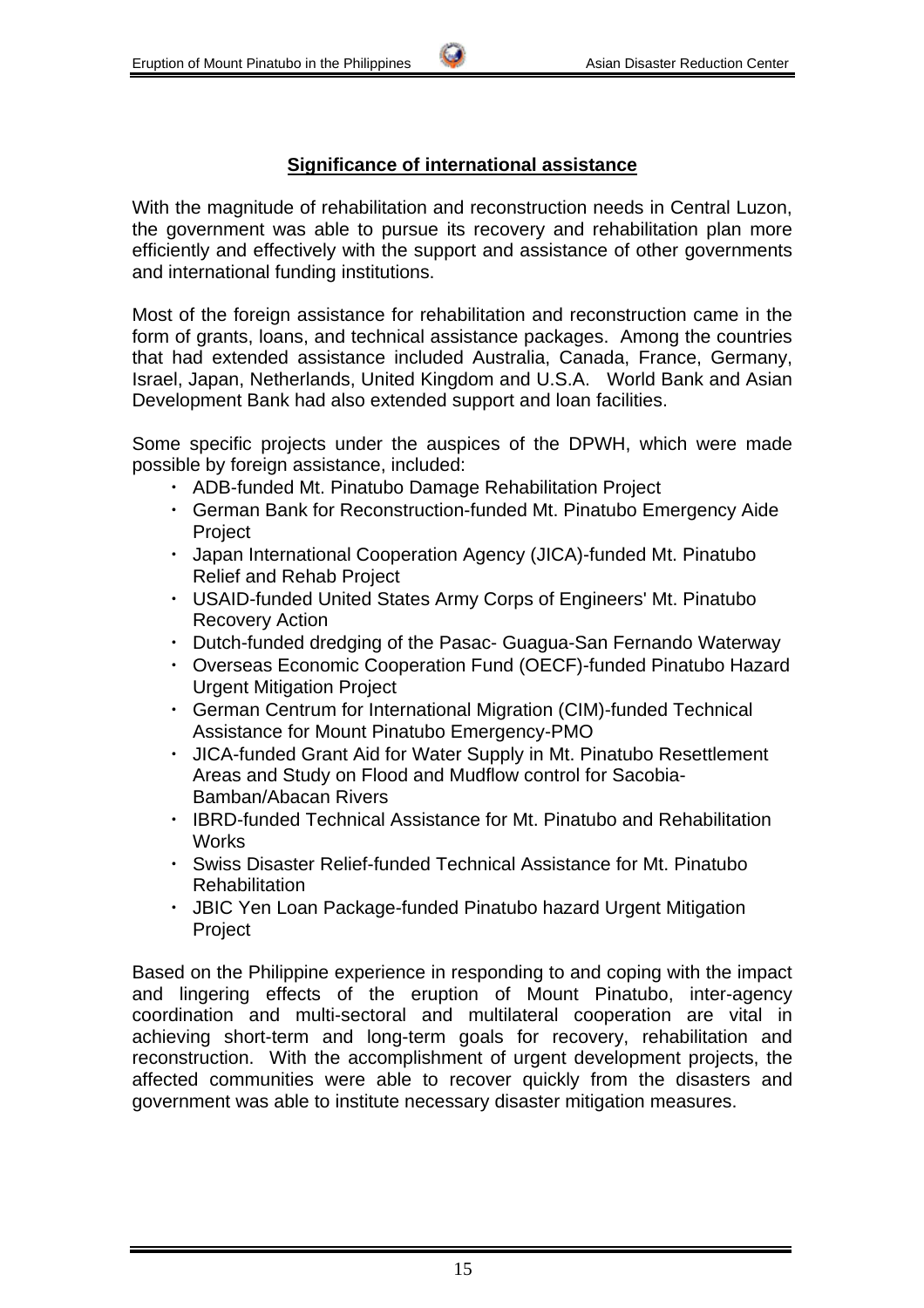# **Significance of international assistance**

With the magnitude of rehabilitation and reconstruction needs in Central Luzon, the government was able to pursue its recovery and rehabilitation plan more efficiently and effectively with the support and assistance of other governments and international funding institutions.

Most of the foreign assistance for rehabilitation and reconstruction came in the form of grants, loans, and technical assistance packages. Among the countries that had extended assistance included Australia, Canada, France, Germany, Israel, Japan, Netherlands, United Kingdom and U.S.A. World Bank and Asian Development Bank had also extended support and loan facilities.

Some specific projects under the auspices of the DPWH, which were made possible by foreign assistance, included:

- ・ ADB-funded Mt. Pinatubo Damage Rehabilitation Project
- ・ German Bank for Reconstruction-funded Mt. Pinatubo Emergency Aide Project
- ・ Japan International Cooperation Agency (JICA)-funded Mt. Pinatubo Relief and Rehab Project
- ・ USAID-funded United States Army Corps of Engineers' Mt. Pinatubo Recovery Action
- ・ Dutch-funded dredging of the Pasac- Guagua-San Fernando Waterway
- ・ Overseas Economic Cooperation Fund (OECF)-funded Pinatubo Hazard Urgent Mitigation Project
- ・ German Centrum for International Migration (CIM)-funded Technical Assistance for Mount Pinatubo Emergency-PMO
- ・ JICA-funded Grant Aid for Water Supply in Mt. Pinatubo Resettlement Areas and Study on Flood and Mudflow control for Sacobia-Bamban/Abacan Rivers
- ・ IBRD-funded Technical Assistance for Mt. Pinatubo and Rehabilitation **Works**
- ・ Swiss Disaster Relief-funded Technical Assistance for Mt. Pinatubo Rehabilitation
- ・ JBIC Yen Loan Package-funded Pinatubo hazard Urgent Mitigation Project

Based on the Philippine experience in responding to and coping with the impact and lingering effects of the eruption of Mount Pinatubo, inter-agency coordination and multi-sectoral and multilateral cooperation are vital in achieving short-term and long-term goals for recovery, rehabilitation and reconstruction. With the accomplishment of urgent development projects, the affected communities were able to recover quickly from the disasters and government was able to institute necessary disaster mitigation measures.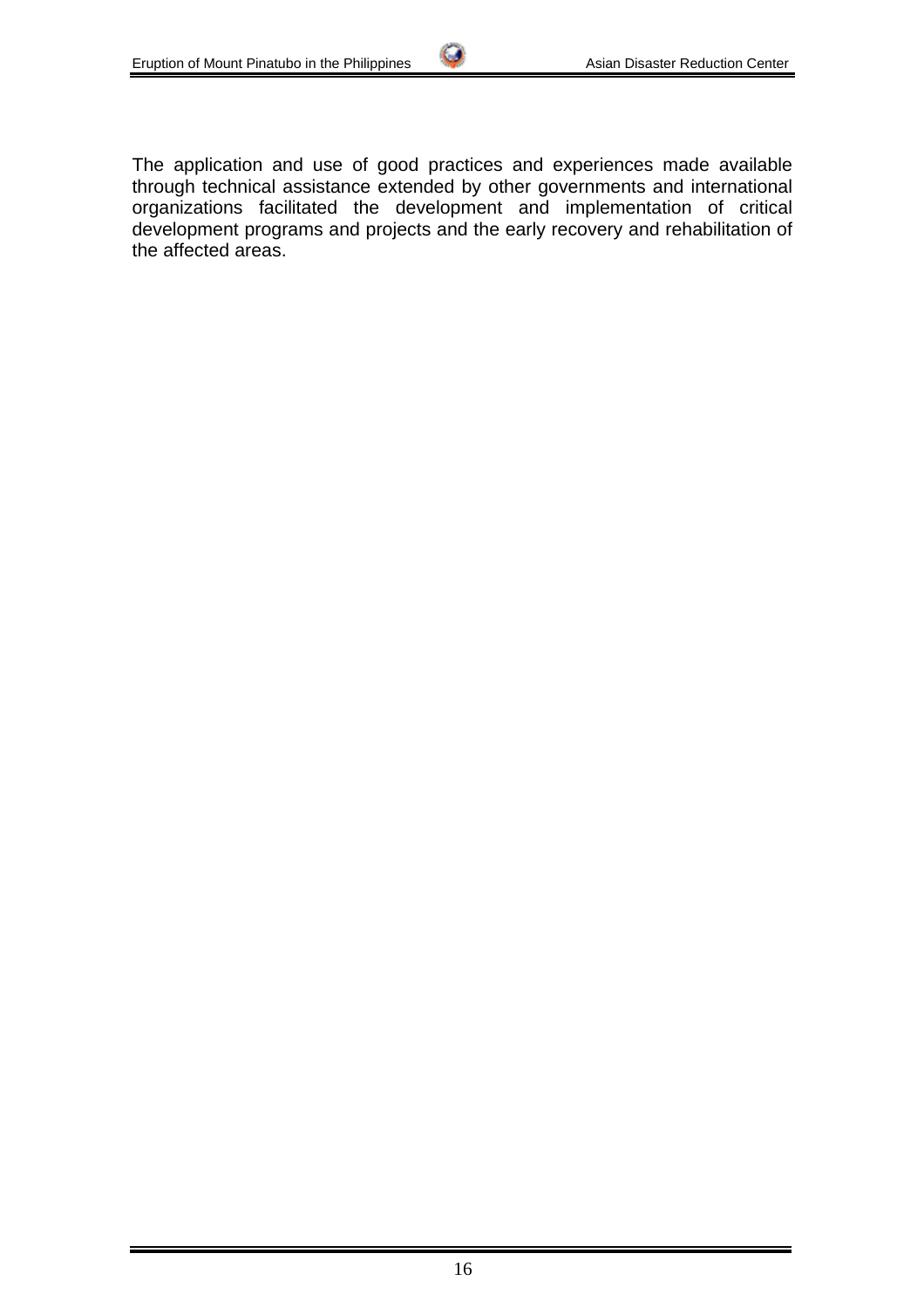The application and use of good practices and experiences made available through technical assistance extended by other governments and international organizations facilitated the development and implementation of critical development programs and projects and the early recovery and rehabilitation of the affected areas.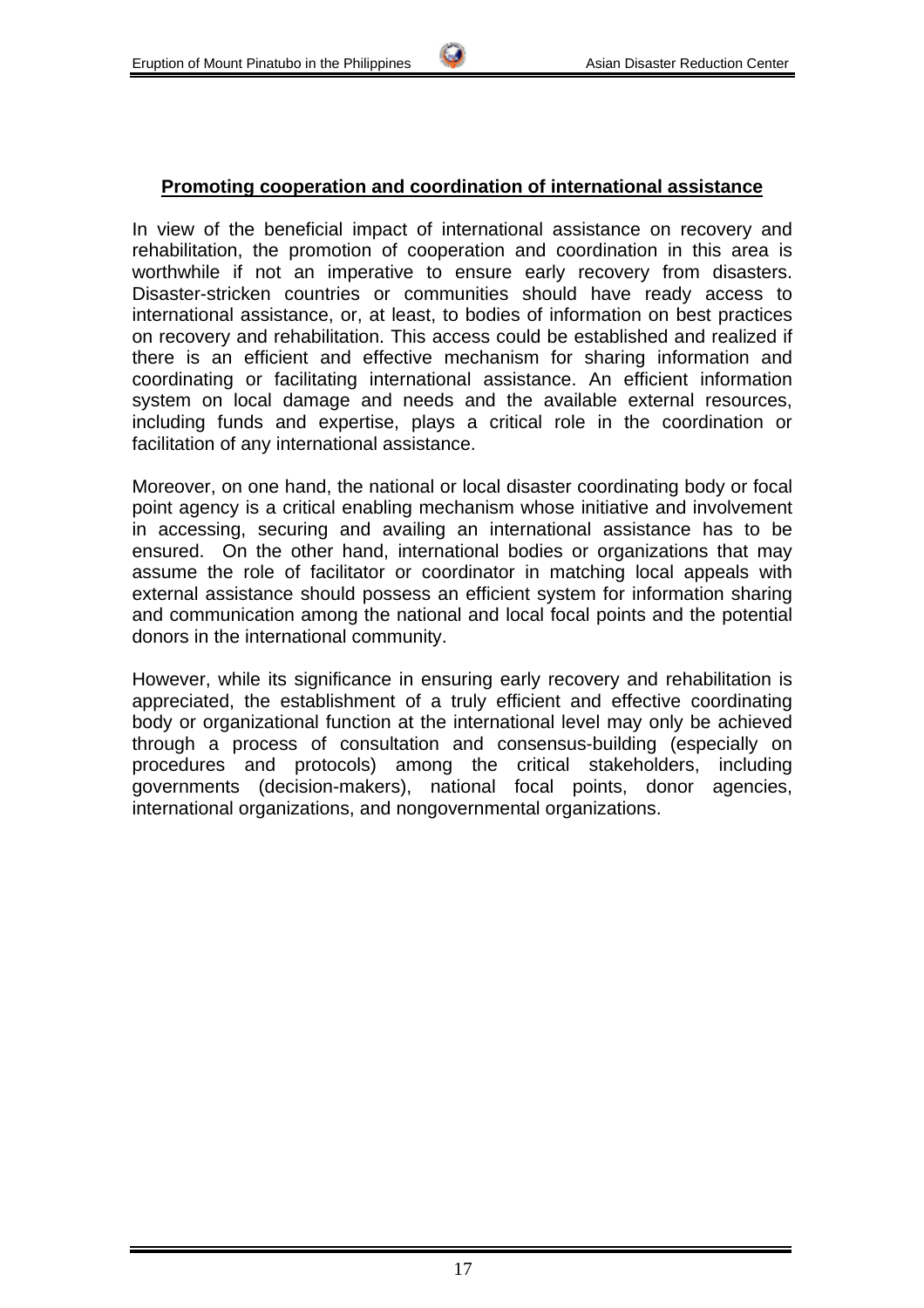#### **Promoting cooperation and coordination of international assistance**

In view of the beneficial impact of international assistance on recovery and rehabilitation, the promotion of cooperation and coordination in this area is worthwhile if not an imperative to ensure early recovery from disasters. Disaster-stricken countries or communities should have ready access to international assistance, or, at least, to bodies of information on best practices on recovery and rehabilitation. This access could be established and realized if there is an efficient and effective mechanism for sharing information and coordinating or facilitating international assistance. An efficient information system on local damage and needs and the available external resources, including funds and expertise, plays a critical role in the coordination or facilitation of any international assistance.

Moreover, on one hand, the national or local disaster coordinating body or focal point agency is a critical enabling mechanism whose initiative and involvement in accessing, securing and availing an international assistance has to be ensured. On the other hand, international bodies or organizations that may assume the role of facilitator or coordinator in matching local appeals with external assistance should possess an efficient system for information sharing and communication among the national and local focal points and the potential donors in the international community.

However, while its significance in ensuring early recovery and rehabilitation is appreciated, the establishment of a truly efficient and effective coordinating body or organizational function at the international level may only be achieved through a process of consultation and consensus-building (especially on procedures and protocols) among the critical stakeholders, including governments (decision-makers), national focal points, donor agencies, international organizations, and nongovernmental organizations.